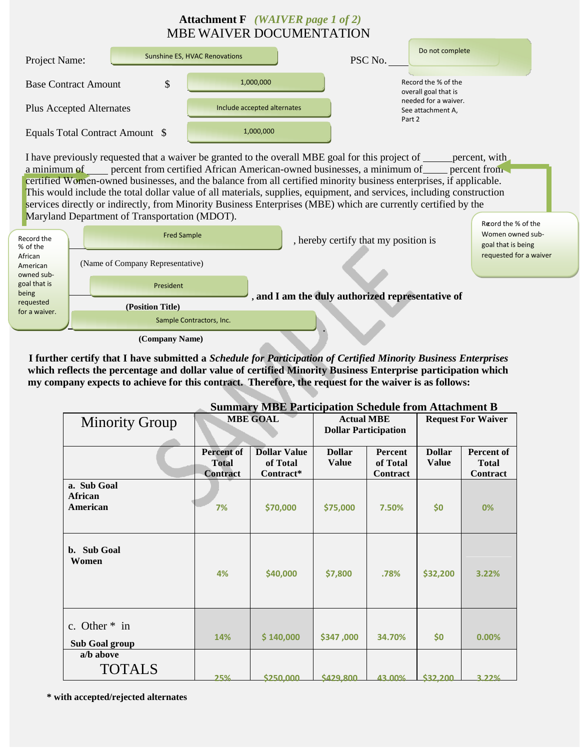## **Attachment F** *(WAIVER page 1 of 2)* MBE WAIVER DOCUMENTATION



I have previously requested that a waiver be granted to the overall MBE goal for this project of percent, with a minimum of percent from certified African American-owned businesses, a minimum of percent from certified Women-owned businesses, and the balance from all certified minority business enterprises, if applicable. This would include the total dollar value of all materials, supplies, equipment, and services, including construction services directly or indirectly, from Minority Business Enterprises (MBE) which are currently certified by the Maryland Department of Transportation (MDOT). Record the % of the



**<sup>(</sup>Company Name)**

**I further certify that I have submitted a** *Schedule for Participation of Certified Minority Business Enterprises*  **which reflects the percentage and dollar value of certified Minority Business Enterprise participation which my company expects to achieve for this contract. Therefore, the request for the waiver is as follows:**

| Summary Nible Participation Schedule from Attachment B |                                                      |                                              |                                                  |                                 |                               |                                        |  |
|--------------------------------------------------------|------------------------------------------------------|----------------------------------------------|--------------------------------------------------|---------------------------------|-------------------------------|----------------------------------------|--|
| <b>Minority Group</b>                                  | <b>MBE GOAL</b>                                      |                                              | <b>Actual MBE</b><br><b>Dollar Participation</b> |                                 | <b>Request For Waiver</b>     |                                        |  |
|                                                        |                                                      |                                              |                                                  |                                 |                               |                                        |  |
|                                                        | <b>Percent of</b><br><b>Total</b><br><b>Contract</b> | <b>Dollar Value</b><br>of Total<br>Contract* | <b>Dollar</b><br><b>Value</b>                    | Percent<br>of Total<br>Contract | <b>Dollar</b><br><b>Value</b> | Percent of<br><b>Total</b><br>Contract |  |
| a. Sub Goal<br><b>African</b><br>American              | 7%                                                   | \$70,000                                     | \$75,000                                         | 7.50%                           | \$0                           | 0%                                     |  |
| b. Sub Goal<br>Women                                   | 4%                                                   | \$40,000                                     | \$7,800                                          | .78%                            | \$32,200                      | 3.22%                                  |  |
| c. Other * in<br><b>Sub Goal group</b>                 | 14%                                                  | \$140,000                                    | \$347,000                                        | 34.70%                          | \$0                           | 0.00%                                  |  |
| a/b above<br><b>TOTALS</b>                             | 25%                                                  | \$250,000                                    | \$429,800                                        | 43.00%                          | \$32,200                      | 3.22%                                  |  |

## $\mathbf{S}$  **MBE**  $\mathbf{D}_{\text{max}}$   $\mathbf{A}_{\text{max}}$   $\mathbf{A}_{\text{max}}$   $\mathbf{A}_{\text{max}}$   $\mathbf{A}_{\text{max}}$   $\mathbf{A}_{\text{max}}$

**\* with accepted/rejected alternates**